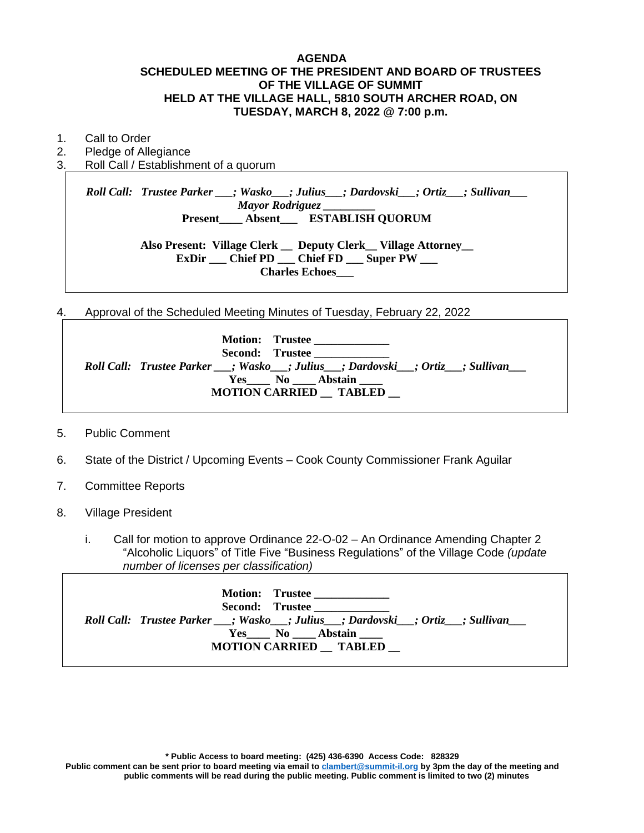#### **AGENDA SCHEDULED MEETING OF THE PRESIDENT AND BOARD OF TRUSTEES OF THE VILLAGE OF SUMMIT HELD AT THE VILLAGE HALL, 5810 SOUTH ARCHER ROAD, ON TUESDAY, MARCH 8, 2022 @ 7:00 p.m.**

- 1. Call to Order
- 2. Pledge of Allegiance
- 3. Roll Call / Establishment of a quorum

*Roll Call: Trustee Parker \_\_\_; Wasko\_\_\_; Julius\_\_\_; Dardovski\_\_\_; Ortiz\_\_\_; Sullivan\_\_\_ Mayor Rodriguez \_\_\_\_\_\_\_\_\_* **Present\_\_\_\_ Absent\_\_\_ ESTABLISH QUORUM Also Present: Village Clerk \_\_ Deputy Clerk\_\_ Village Attorney\_\_ ExDir \_\_\_ Chief PD \_\_\_ Chief FD \_\_\_ Super PW \_\_\_**

**Charles Echoes\_\_\_**

4. Approval of the Scheduled Meeting Minutes of Tuesday, February 22, 2022

| Motion: Trustee<br>Second: Trustee<br>Roll Call: Trustee Parker __; Wasko__; Julius__; Dardovski__; Ortiz__; Sullivan__<br>Yes No Abstain |
|-------------------------------------------------------------------------------------------------------------------------------------------|
| <b>MOTION CARRIED TABLED</b>                                                                                                              |

- 5. Public Comment
- 6. State of the District / Upcoming Events Cook County Commissioner Frank Aguilar
- 7. Committee Reports
- 8. Village President
	- i. Call for motion to approve Ordinance 22-O-02 An Ordinance Amending Chapter 2 "Alcoholic Liquors" of Title Five "Business Regulations" of the Village Code *(update number of licenses per classification)*

| Motion: Trustee<br>Second: Trustee<br>Roll Call: Trustee Parker __; Wasko __; Julius __; Dardovski __; Ortiz __; Sullivan ___<br>Yes No Abstain<br><b>MOTION CARRIED TABLED</b> |  |
|---------------------------------------------------------------------------------------------------------------------------------------------------------------------------------|--|
|---------------------------------------------------------------------------------------------------------------------------------------------------------------------------------|--|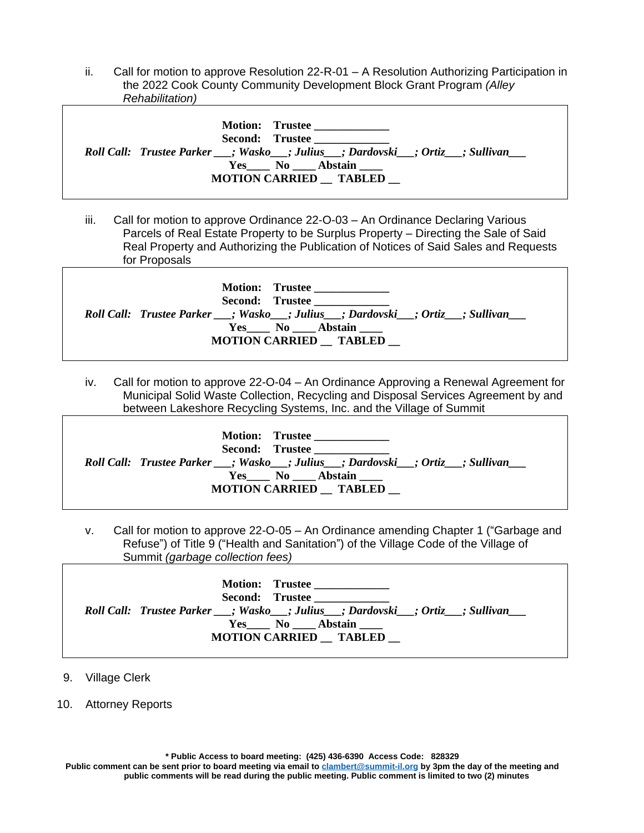ii. Call for motion to approve Resolution 22-R-01 – A Resolution Authorizing Participation in the 2022 Cook County Community Development Block Grant Program *(Alley Rehabilitation)*

| Motion: Trustee<br>Second: Trustee<br>Roll Call: Trustee Parker __; Wasko__; Julius __; Dardovski__; Ortiz __; Sullivan ___<br>Yes No Abstain<br><b>MOTION CARRIED TABLED</b> |
|-------------------------------------------------------------------------------------------------------------------------------------------------------------------------------|
|-------------------------------------------------------------------------------------------------------------------------------------------------------------------------------|

iii. Call for motion to approve Ordinance 22-O-03 – An Ordinance Declaring Various Parcels of Real Estate Property to be Surplus Property – Directing the Sale of Said Real Property and Authorizing the Publication of Notices of Said Sales and Requests for Proposals

| Motion: Trustee<br>Second: Trustee<br>Roll Call: Trustee Parker __; Wasko __; Julius __; Dardovski __; Ortiz __; Sullivan ___<br>Yes No Abstain<br><b>MOTION CARRIED TABLED</b> |
|---------------------------------------------------------------------------------------------------------------------------------------------------------------------------------|
|                                                                                                                                                                                 |
|                                                                                                                                                                                 |

iv. Call for motion to approve 22-O-04 – An Ordinance Approving a Renewal Agreement for Municipal Solid Waste Collection, Recycling and Disposal Services Agreement by and between Lakeshore Recycling Systems, Inc. and the Village of Summit

| Motion: Trustee<br>Second: Trustee                                                   |
|--------------------------------------------------------------------------------------|
| Roll Call: Trustee Parker __; Wasko__; Julius___; Dardovski__; Ortiz___; Sullivan___ |
| Yes No Abstain<br><b>MOTION CARRIED TABLED</b>                                       |

v. Call for motion to approve 22-O-05 – An Ordinance amending Chapter 1 ("Garbage and Refuse") of Title 9 ("Health and Sanitation") of the Village Code of the Village of Summit *(garbage collection fees)*

| <b>Motion: Trustee</b><br>Second: Trustee<br>Roll Call: Trustee Parker __; Wasko __; Julius __; Dardovski __; Ortiz __; Sullivan ___<br>Yes No Abstain |
|--------------------------------------------------------------------------------------------------------------------------------------------------------|
| <b>MOTION CARRIED TABLED</b>                                                                                                                           |
|                                                                                                                                                        |

9. Village Clerk

10. Attorney Reports